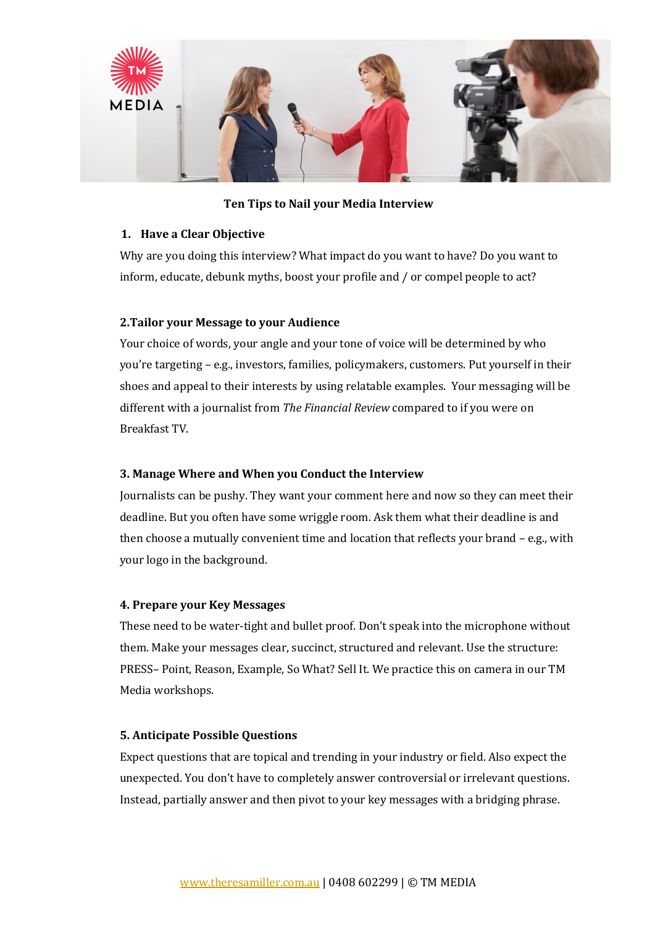

### **Ten Tips to Nail your Media Interview**

### **1. Have a Clear Objective**

Why are you doing this interview? What impact do you want to have? Do you want to inform, educate, debunk myths, boost your profile and / or compel people to act?

### **2. Tailor your Message to your Audience**

Your choice of words, your angle and your tone of voice will be determined by who you're targeting – e.g., investors, families, policymakers, customers. Put yourself in their shoes and appeal to their interests by using relatable examples. Your messaging will be different with a journalist from *The Financial Review* compared to if you were on Breakfast TV.

#### **3. Manage Where and When you Conduct the Interview**

Journalists can be pushy. They want your comment here and now so they can meet their deadline. But you often have some wriggle room. Ask them what their deadline is and then choose a mutually convenient time and location that reflects your brand  $-$  e.g., with your logo in the background.

#### **4. Prepare your Key Messages**

These need to be water-tight and bullet proof. Don't speak into the microphone without them. Make your messages clear, succinct, structured and relevant. Use the structure: PRESS- Point, Reason, Example, So What? Sell It. We practice this on camera in our TM Media workshops.

#### **5. Anticipate Possible Questions**

Expect questions that are topical and trending in your industry or field. Also expect the unexpected. You don't have to completely answer controversial or irrelevant questions. Instead, partially answer and then pivot to your key messages with a bridging phrase.